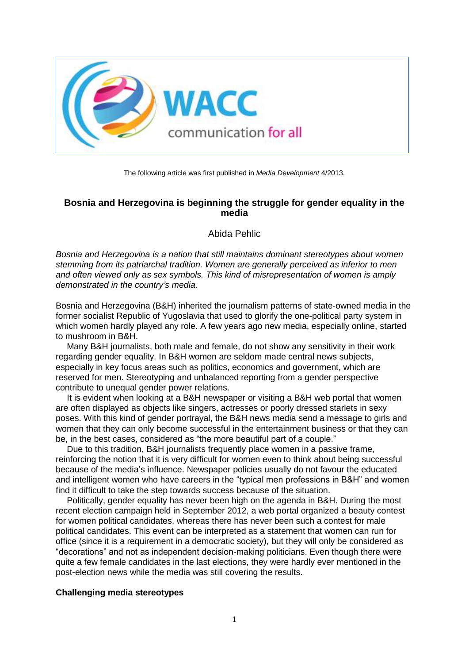

The following article was first published in *Media Development* 4/2013.

## **Bosnia and Herzegovina is beginning the struggle for gender equality in the media**

Abida Pehlic

*Bosnia and Herzegovina is a nation that still maintains dominant stereotypes about women stemming from its patriarchal tradition. Women are generally perceived as inferior to men and often viewed only as sex symbols. This kind of misrepresentation of women is amply demonstrated in the country's media.*

Bosnia and Herzegovina (B&H) inherited the journalism patterns of state-owned media in the former socialist Republic of Yugoslavia that used to glorify the one-political party system in which women hardly played any role. A few years ago new media, especially online, started to mushroom in B&H.

Many B&H journalists, both male and female, do not show any sensitivity in their work regarding gender equality. In B&H women are seldom made central news subjects, especially in key focus areas such as politics, economics and government, which are reserved for men. Stereotyping and unbalanced reporting from a gender perspective contribute to unequal gender power relations.

It is evident when looking at a B&H newspaper or visiting a B&H web portal that women are often displayed as objects like singers, actresses or poorly dressed starlets in sexy poses. With this kind of gender portrayal, the B&H news media send a message to girls and women that they can only become successful in the entertainment business or that they can be, in the best cases, considered as "the more beautiful part of a couple."

Due to this tradition, B&H journalists frequently place women in a passive frame, reinforcing the notion that it is very difficult for women even to think about being successful because of the media's influence. Newspaper policies usually do not favour the educated and intelligent women who have careers in the "typical men professions in B&H" and women find it difficult to take the step towards success because of the situation.

Politically, gender equality has never been high on the agenda in B&H. During the most recent election campaign held in September 2012, a web portal organized a beauty contest for women political candidates, whereas there has never been such a contest for male political candidates. This event can be interpreted as a statement that women can run for office (since it is a requirement in a democratic society), but they will only be considered as "decorations" and not as independent decision-making politicians. Even though there were quite a few female candidates in the last elections, they were hardly ever mentioned in the post-election news while the media was still covering the results.

## **Challenging media stereotypes**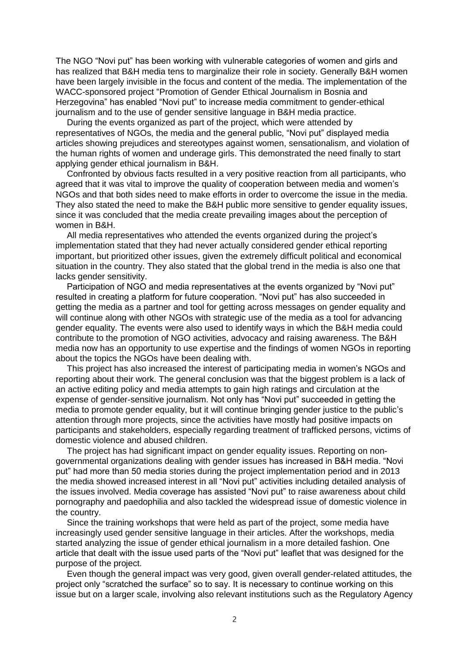The NGO "Novi put" has been working with vulnerable categories of women and girls and has realized that B&H media tens to marginalize their role in society. Generally B&H women have been largely invisible in the focus and content of the media. The implementation of the WACC-sponsored project "Promotion of Gender Ethical Journalism in Bosnia and Herzegovina" has enabled "Novi put" to increase media commitment to gender-ethical journalism and to the use of gender sensitive language in B&H media practice.

During the events organized as part of the project, which were attended by representatives of NGOs, the media and the general public, "Novi put" displayed media articles showing prejudices and stereotypes against women, sensationalism, and violation of the human rights of women and underage girls. This demonstrated the need finally to start applying gender ethical journalism in B&H.

Confronted by obvious facts resulted in a very positive reaction from all participants, who agreed that it was vital to improve the quality of cooperation between media and women's NGOs and that both sides need to make efforts in order to overcome the issue in the media. They also stated the need to make the B&H public more sensitive to gender equality issues, since it was concluded that the media create prevailing images about the perception of women in B&H.

All media representatives who attended the events organized during the project's implementation stated that they had never actually considered gender ethical reporting important, but prioritized other issues, given the extremely difficult political and economical situation in the country. They also stated that the global trend in the media is also one that lacks gender sensitivity.

Participation of NGO and media representatives at the events organized by "Novi put" resulted in creating a platform for future cooperation. "Novi put" has also succeeded in getting the media as a partner and tool for getting across messages on gender equality and will continue along with other NGOs with strategic use of the media as a tool for advancing gender equality. The events were also used to identify ways in which the B&H media could contribute to the promotion of NGO activities, advocacy and raising awareness. The B&H media now has an opportunity to use expertise and the findings of women NGOs in reporting about the topics the NGOs have been dealing with.

This project has also increased the interest of participating media in women's NGOs and reporting about their work. The general conclusion was that the biggest problem is a lack of an active editing policy and media attempts to gain high ratings and circulation at the expense of gender-sensitive journalism. Not only has "Novi put" succeeded in getting the media to promote gender equality, but it will continue bringing gender justice to the public's attention through more projects, since the activities have mostly had positive impacts on participants and stakeholders, especially regarding treatment of trafficked persons, victims of domestic violence and abused children.

The project has had significant impact on gender equality issues. Reporting on nongovernmental organizations dealing with gender issues has increased in B&H media. "Novi put" had more than 50 media stories during the project implementation period and in 2013 the media showed increased interest in all "Novi put" activities including detailed analysis of the issues involved. Media coverage has assisted "Novi put" to raise awareness about child pornography and paedophilia and also tackled the widespread issue of domestic violence in the country.

Since the training workshops that were held as part of the project, some media have increasingly used gender sensitive language in their articles. After the workshops, media started analyzing the issue of gender ethical journalism in a more detailed fashion. One article that dealt with the issue used parts of the "Novi put" leaflet that was designed for the purpose of the project.

Even though the general impact was very good, given overall gender-related attitudes, the project only "scratched the surface" so to say. It is necessary to continue working on this issue but on a larger scale, involving also relevant institutions such as the Regulatory Agency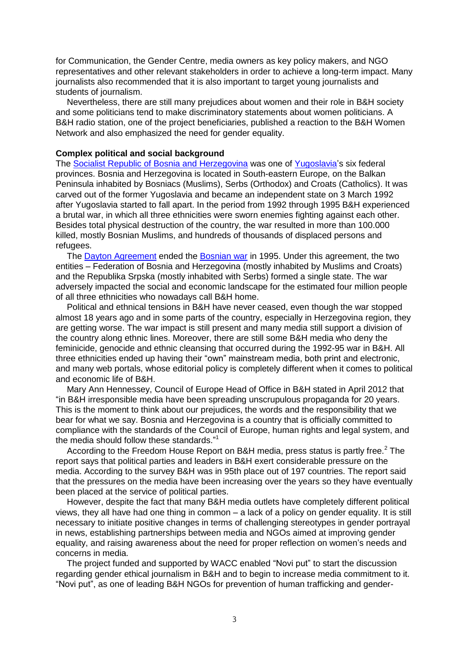for Communication, the Gender Centre, media owners as key policy makers, and NGO representatives and other relevant stakeholders in order to achieve a long-term impact. Many journalists also recommended that it is also important to target young journalists and students of journalism.

Nevertheless, there are still many prejudices about women and their role in B&H society and some politicians tend to make discriminatory statements about women politicians. A B&H radio station, one of the project beneficiaries, published a reaction to the B&H Women Network and also emphasized the need for gender equality.

## **Complex political and social background**

The [Socialist Republic of Bosnia and Herzegovina](https://en.wikipedia.org/wiki/Socialist_Republic_of_Bosnia_and_Herzegovina) was one of [Yugoslavia'](https://en.wikipedia.org/wiki/Socialist_Federal_Republic_of_Yugoslavia)s six federal provinces. Bosnia and Herzegovina is located in South-eastern Europe, on the Balkan Peninsula inhabited by Bosniacs (Muslims), Serbs (Orthodox) and Croats (Catholics). It was carved out of the former Yugoslavia and became an independent state on 3 March 1992 after Yugoslavia started to fall apart. In the period from 1992 through 1995 B&H experienced a brutal war, in which all three ethnicities were sworn enemies fighting against each other. Besides total physical destruction of the country, the war resulted in more than 100.000 killed, mostly Bosnian Muslims, and hundreds of thousands of displaced persons and refugees.

The [Dayton Agreement](https://en.wikipedia.org/wiki/Dayton_Agreement) ended the [Bosnian war](https://en.wikipedia.org/wiki/Bosnian_war) in 1995. Under this agreement, the two entities – Federation of Bosnia and Herzegovina (mostly inhabited by Muslims and Croats) and the Republika Srpska (mostly inhabited with Serbs) formed a single state. The war adversely impacted the social and economic landscape for the estimated four million people of all three ethnicities who nowadays call B&H home.

Political and ethnical tensions in B&H have never ceased, even though the war stopped almost 18 years ago and in some parts of the country, especially in Herzegovina region, they are getting worse. The war impact is still present and many media still support a division of the country along ethnic lines. Moreover, there are still some B&H media who deny the feminicide, genocide and ethnic cleansing that occurred during the 1992-95 war in B&H. All three ethnicities ended up having their "own" mainstream media, both print and electronic, and many web portals, whose editorial policy is completely different when it comes to political and economic life of B&H.

Mary Ann Hennessey, Council of Europe Head of Office in B&H stated in April 2012 that "in B&H irresponsible media have been spreading unscrupulous propaganda for 20 years. This is the moment to think about our prejudices, the words and the responsibility that we bear for what we say. Bosnia and Herzegovina is a country that is officially committed to compliance with the standards of the Council of Europe, human rights and legal system, and the media should follow these standards."<sup>1</sup>

According to the Freedom House Report on B&H media, press status is partly free.<sup>2</sup> The report says that political parties and leaders in B&H exert considerable pressure on the media. According to the survey B&H was in 95th place out of 197 countries. The report said that the pressures on the media have been increasing over the years so they have eventually been placed at the service of political parties.

However, despite the fact that many B&H media outlets have completely different political views, they all have had one thing in common – a lack of a policy on gender equality. It is still necessary to initiate positive changes in terms of challenging stereotypes in gender portrayal in news, establishing partnerships between media and NGOs aimed at improving gender equality, and raising awareness about the need for proper reflection on women's needs and concerns in media.

The project funded and supported by WACC enabled "Novi put" to start the discussion regarding gender ethical journalism in B&H and to begin to increase media commitment to it. "Novi put", as one of leading B&H NGOs for prevention of human trafficking and gender-